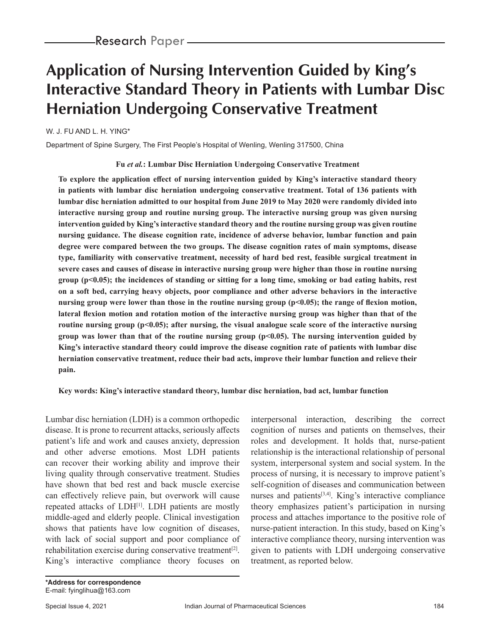# **Application of Nursing Intervention Guided by King's Interactive Standard Theory in Patients with Lumbar Disc Herniation Undergoing Conservative Treatment**

W. J. FU AND L. H. YING\*

Department of Spine Surgery, The First People's Hospital of Wenling, Wenling 317500, China

#### **Fu** *et al.***: Lumbar Disc Herniation Undergoing Conservative Treatment**

**To explore the application effect of nursing intervention guided by King's interactive standard theory in patients with lumbar disc herniation undergoing conservative treatment. Total of 136 patients with lumbar disc herniation admitted to our hospital from June 2019 to May 2020 were randomly divided into interactive nursing group and routine nursing group. The interactive nursing group was given nursing intervention guided by King's interactive standard theory and the routine nursing group was given routine nursing guidance. The disease cognition rate, incidence of adverse behavior, lumbar function and pain degree were compared between the two groups. The disease cognition rates of main symptoms, disease type, familiarity with conservative treatment, necessity of hard bed rest, feasible surgical treatment in severe cases and causes of disease in interactive nursing group were higher than those in routine nursing group (p<0.05); the incidences of standing or sitting for a long time, smoking or bad eating habits, rest on a soft bed, carrying heavy objects, poor compliance and other adverse behaviors in the interactive nursing group were lower than those in the routine nursing group (p<0.05); the range of flexion motion, lateral flexion motion and rotation motion of the interactive nursing group was higher than that of the routine nursing group (p<0.05); after nursing, the visual analogue scale score of the interactive nursing group** was lower than that of the routine nursing group  $(p<0.05)$ . The nursing intervention guided by **King's interactive standard theory could improve the disease cognition rate of patients with lumbar disc herniation conservative treatment, reduce their bad acts, improve their lumbar function and relieve their pain.**

**Key words: King's interactive standard theory, lumbar disc herniation, bad act, lumbar function**

Lumbar disc herniation (LDH) is a common orthopedic disease. It is prone to recurrent attacks, seriously affects patient's life and work and causes anxiety, depression and other adverse emotions. Most LDH patients can recover their working ability and improve their living quality through conservative treatment. Studies have shown that bed rest and back muscle exercise can effectively relieve pain, but overwork will cause repeated attacks of LDH<sup>[1]</sup>. LDH patients are mostly middle-aged and elderly people. Clinical investigation shows that patients have low cognition of diseases, with lack of social support and poor compliance of rehabilitation exercise during conservative treatment<sup>[2]</sup>. King's interactive compliance theory focuses on

*\*Address for correspondence*

interpersonal interaction, describing the correct cognition of nurses and patients on themselves, their roles and development. It holds that, nurse-patient relationship is the interactional relationship of personal system, interpersonal system and social system. In the process of nursing, it is necessary to improve patient's self-cognition of diseases and communication between nurses and patients $[3,4]$ . King's interactive compliance theory emphasizes patient's participation in nursing process and attaches importance to the positive role of nurse-patient interaction. In this study, based on King's interactive compliance theory, nursing intervention was given to patients with LDH undergoing conservative treatment, as reported below.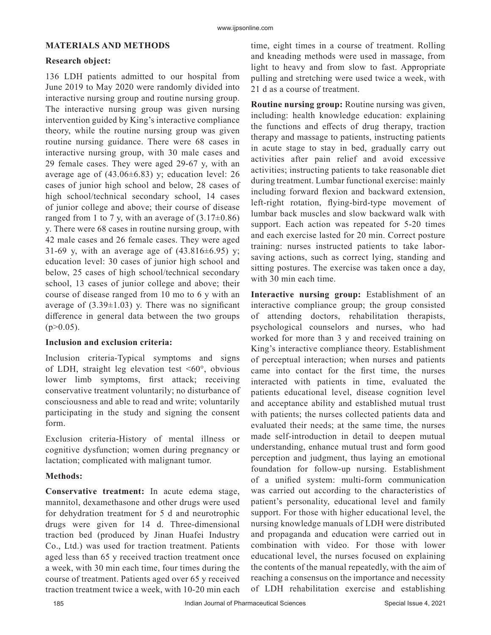## **MATERIALS AND METHODS**

## **Research object:**

136 LDH patients admitted to our hospital from June 2019 to May 2020 were randomly divided into interactive nursing group and routine nursing group. The interactive nursing group was given nursing intervention guided by King's interactive compliance theory, while the routine nursing group was given routine nursing guidance. There were 68 cases in interactive nursing group, with 30 male cases and 29 female cases. They were aged 29-67 y, with an average age of  $(43.06\pm6.83)$  y; education level: 26 cases of junior high school and below, 28 cases of high school/technical secondary school, 14 cases of junior college and above; their course of disease ranged from 1 to 7 y, with an average of  $(3.17\pm0.86)$ y. There were 68 cases in routine nursing group, with 42 male cases and 26 female cases. They were aged 31-69 y, with an average age of  $(43.816 \pm 6.95)$  y; education level: 30 cases of junior high school and below, 25 cases of high school/technical secondary school, 13 cases of junior college and above; their course of disease ranged from 10 mo to 6 y with an average of  $(3.39\pm1.03)$  y. There was no significant difference in general data between the two groups  $(p>0.05)$ .

## **Inclusion and exclusion criteria:**

Inclusion criteria-Typical symptoms and signs of LDH, straight leg elevation test  $\leq 60^\circ$ , obvious lower limb symptoms, first attack; receiving conservative treatment voluntarily; no disturbance of consciousness and able to read and write; voluntarily participating in the study and signing the consent form.

Exclusion criteria-History of mental illness or cognitive dysfunction; women during pregnancy or lactation; complicated with malignant tumor.

# **Methods:**

**Conservative treatment:** In acute edema stage, mannitol, dexamethasone and other drugs were used for dehydration treatment for 5 d and neurotrophic drugs were given for 14 d. Three-dimensional traction bed (produced by Jinan Huafei Industry Co., Ltd.) was used for traction treatment. Patients aged less than 65 y received traction treatment once a week, with 30 min each time, four times during the course of treatment. Patients aged over 65 y received traction treatment twice a week, with 10-20 min each time, eight times in a course of treatment. Rolling and kneading methods were used in massage, from light to heavy and from slow to fast. Appropriate pulling and stretching were used twice a week, with 21 d as a course of treatment.

**Routine nursing group:** Routine nursing was given, including: health knowledge education: explaining the functions and effects of drug therapy, traction therapy and massage to patients, instructing patients in acute stage to stay in bed, gradually carry out activities after pain relief and avoid excessive activities; instructing patients to take reasonable diet during treatment. Lumbar functional exercise: mainly including forward flexion and backward extension, left-right rotation, flying-bird-type movement of lumbar back muscles and slow backward walk with support. Each action was repeated for 5-20 times and each exercise lasted for 20 min. Correct posture training: nurses instructed patients to take laborsaving actions, such as correct lying, standing and sitting postures. The exercise was taken once a day, with 30 min each time.

**Interactive nursing group:** Establishment of an interactive compliance group; the group consisted of attending doctors, rehabilitation therapists, psychological counselors and nurses, who had worked for more than 3 y and received training on King's interactive compliance theory. Establishment of perceptual interaction; when nurses and patients came into contact for the first time, the nurses interacted with patients in time, evaluated the patients educational level, disease cognition level and acceptance ability and established mutual trust with patients; the nurses collected patients data and evaluated their needs; at the same time, the nurses made self-introduction in detail to deepen mutual understanding, enhance mutual trust and form good perception and judgment, thus laying an emotional foundation for follow-up nursing. Establishment of a unified system: multi-form communication was carried out according to the characteristics of patient's personality, educational level and family support. For those with higher educational level, the nursing knowledge manuals of LDH were distributed and propaganda and education were carried out in combination with video. For those with lower educational level, the nurses focused on explaining the contents of the manual repeatedly, with the aim of reaching a consensus on the importance and necessity of LDH rehabilitation exercise and establishing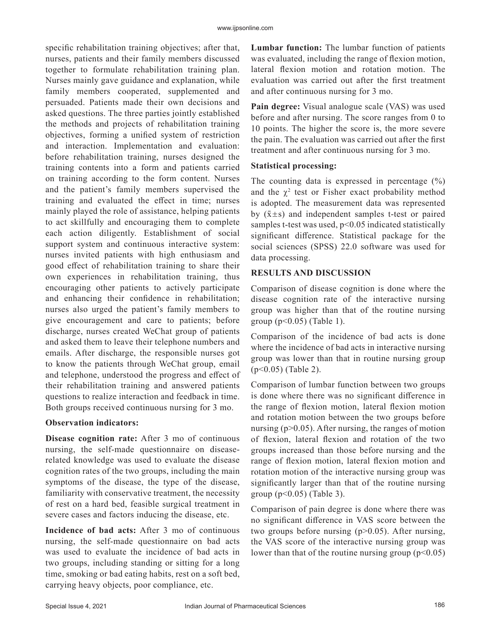specific rehabilitation training objectives; after that, nurses, patients and their family members discussed together to formulate rehabilitation training plan. Nurses mainly gave guidance and explanation, while family members cooperated, supplemented and persuaded. Patients made their own decisions and asked questions. The three parties jointly established the methods and projects of rehabilitation training objectives, forming a unified system of restriction and interaction. Implementation and evaluation: before rehabilitation training, nurses designed the training contents into a form and patients carried on training according to the form content. Nurses and the patient's family members supervised the training and evaluated the effect in time; nurses mainly played the role of assistance, helping patients to act skillfully and encouraging them to complete each action diligently. Establishment of social support system and continuous interactive system: nurses invited patients with high enthusiasm and good effect of rehabilitation training to share their own experiences in rehabilitation training, thus encouraging other patients to actively participate and enhancing their confidence in rehabilitation; nurses also urged the patient's family members to give encouragement and care to patients; before discharge, nurses created WeChat group of patients and asked them to leave their telephone numbers and emails. After discharge, the responsible nurses got to know the patients through WeChat group, email and telephone, understood the progress and effect of their rehabilitation training and answered patients questions to realize interaction and feedback in time. Both groups received continuous nursing for 3 mo.

## **Observation indicators:**

**Disease cognition rate:** After 3 mo of continuous nursing, the self-made questionnaire on diseaserelated knowledge was used to evaluate the disease cognition rates of the two groups, including the main symptoms of the disease, the type of the disease, familiarity with conservative treatment, the necessity of rest on a hard bed, feasible surgical treatment in severe cases and factors inducing the disease, etc.

**Incidence of bad acts:** After 3 mo of continuous nursing, the self-made questionnaire on bad acts was used to evaluate the incidence of bad acts in two groups, including standing or sitting for a long time, smoking or bad eating habits, rest on a soft bed, carrying heavy objects, poor compliance, etc.

**Lumbar function:** The lumbar function of patients was evaluated, including the range of flexion motion, lateral flexion motion and rotation motion. The evaluation was carried out after the first treatment and after continuous nursing for 3 mo.

**Pain degree:** Visual analogue scale (VAS) was used before and after nursing. The score ranges from 0 to 10 points. The higher the score is, the more severe the pain. The evaluation was carried out after the first treatment and after continuous nursing for 3 mo.

## **Statistical processing:**

The counting data is expressed in percentage  $(\%)$ and the  $\chi^2$  test or Fisher exact probability method is adopted. The measurement data was represented by  $(\bar{x} \pm s)$  and independent samples t-test or paired samples t-test was used, p<0.05 indicated statistically significant difference. Statistical package for the social sciences (SPSS) 22.0 software was used for data processing.

# **RESULTS AND DISCUSSION**

Comparison of disease cognition is done where the disease cognition rate of the interactive nursing group was higher than that of the routine nursing group  $(p<0.05)$  (Table 1).

Comparison of the incidence of bad acts is done where the incidence of bad acts in interactive nursing group was lower than that in routine nursing group (p<0.05) (Table 2).

Comparison of lumbar function between two groups is done where there was no significant difference in the range of flexion motion, lateral flexion motion and rotation motion between the two groups before nursing  $(p>0.05)$ . After nursing, the ranges of motion of flexion, lateral flexion and rotation of the two groups increased than those before nursing and the range of flexion motion, lateral flexion motion and rotation motion of the interactive nursing group was significantly larger than that of the routine nursing group  $(p<0.05)$  (Table 3).

Comparison of pain degree is done where there was no significant difference in VAS score between the two groups before nursing (p>0.05). After nursing, the VAS score of the interactive nursing group was lower than that of the routine nursing group  $(p<0.05)$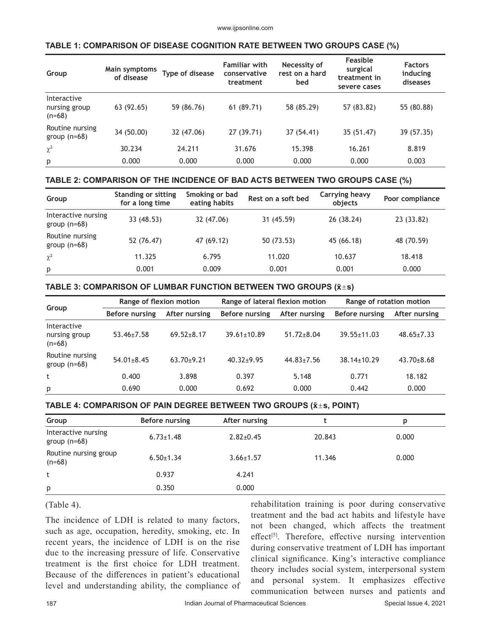# **TABLE 1: COMPARISON OF DISEASE COGNITION RATE BETWEEN TWO GROUPS CASE (%)**

| Group                                    | Main symptoms<br>of disease | Type of disease | <b>Familiar with</b><br>conservative<br>treatment | Necessity of<br>rest on a hard<br>bed | Feasible<br>surgical<br>treatment in<br>severe cases | <b>Factors</b><br>inducing<br>diseases |
|------------------------------------------|-----------------------------|-----------------|---------------------------------------------------|---------------------------------------|------------------------------------------------------|----------------------------------------|
| Interactive<br>nursing group<br>$(n=68)$ | 63 (92.65)                  | 59 (86.76)      | 61 (89.71)                                        | 58 (85.29)                            | 57 (83.82)                                           | 55 (80.88)                             |
| Routine nursing<br>group $(n=68)$        | 34 (50.00)                  | 32 (47.06)      | 27 (39.71)                                        | 37 (54.41)                            | 35 (51.47)                                           | 39 (57.35)                             |
| $\chi^2$                                 | 30.234                      | 24.211          | 31.676                                            | 15.398                                | 16.261                                               | 8.819                                  |
| p                                        | 0.000                       | 0.000           | 0.000                                             | 0.000                                 | 0.000                                                | 0.003                                  |

## **TABLE 2: COMPARISON OF THE INCIDENCE OF BAD ACTS BETWEEN TWO GROUPS CASE (%)**

| Group                                 | <b>Standing or sitting</b><br>for a long time | Smoking or bad<br>eating habits | Rest on a soft bed | Carrying heavy<br>objects | Poor compliance |
|---------------------------------------|-----------------------------------------------|---------------------------------|--------------------|---------------------------|-----------------|
| Interactive nursing<br>group $(n=68)$ | 33 (48.53)                                    | 32 (47.06)                      | 31 (45.59)         | 26 (38.24)                | 23 (33.82)      |
| Routine nursing<br>group $(n=68)$     | 52 (76.47)                                    | 47 (69.12)                      | 50 (73.53)         | 45 (66.18)                | 48 (70.59)      |
| $\chi^2$                              | 11.325                                        | 6.795                           | 11.020             | 10.637                    | 18.418          |
| p                                     | 0.001                                         | 0.009                           | 0.001              | 0.001                     | 0.000           |

#### **TABLE 3: COMPARISON OF LUMBAR FUNCTION BETWEEN TWO GROUPS (x̄s)**

| Group                                    | Range of flexion motion |                | Range of lateral flexion motion |                  | Range of rotation motion |                  |
|------------------------------------------|-------------------------|----------------|---------------------------------|------------------|--------------------------|------------------|
|                                          | Before nursing          | After nursing  | Before nursing                  | After nursing    | Before nursing           | After nursing    |
| Interactive<br>nursing group<br>$(n=68)$ | $53.46 \pm 7.58$        | $69.52 + 8.17$ | $39.61 \pm 10.89$               | $51.72 \pm 8.04$ | $39.55 \pm 11.03$        | $48.65 \pm 7.33$ |
| Routine nursing<br>group $(n=68)$        | $54.01 \pm 8.45$        | $63.70+9.21$   | $40.32+9.95$                    | $44.83 \pm 7.56$ | $38.14 \pm 10.29$        | $43.70 + 8.68$   |
| t                                        | 0.400                   | 3.898          | 0.397                           | 5.148            | 0.771                    | 18.182           |
| p                                        | 0.690                   | 0.000          | 0.692                           | 0.000            | 0.442                    | 0.000            |

#### **TABLE 4: COMPARISON OF PAIN DEGREE BETWEEN TWO GROUPS (x̄s, POINT)**

| Group                                 | Before nursing  | After nursing   |        | D     |
|---------------------------------------|-----------------|-----------------|--------|-------|
| Interactive nursing<br>group $(n=68)$ | $6.73 \pm 1.48$ | $2.82 \pm 0.45$ | 20.843 | 0.000 |
| Routine nursing group<br>$(n=68)$     | $6.50 \pm 1.34$ | $3.66 \pm 1.57$ | 11.346 | 0.000 |
| t                                     | 0.937           | 4.241           |        |       |
| p                                     | 0.350           | 0.000           |        |       |

## (Table 4).

The incidence of LDH is related to many factors, such as age, occupation, heredity, smoking, etc. In recent years, the incidence of LDH is on the rise due to the increasing pressure of life. Conservative treatment is the first choice for LDH treatment. Because of the differences in patient's educational level and understanding ability, the compliance of rehabilitation training is poor during conservative treatment and the bad act habits and lifestyle have not been changed, which affects the treatment effect<sup>[5]</sup>. Therefore, effective nursing intervention during conservative treatment of LDH has important clinical significance. King's interactive compliance theory includes social system, interpersonal system and personal system. It emphasizes effective communication between nurses and patients and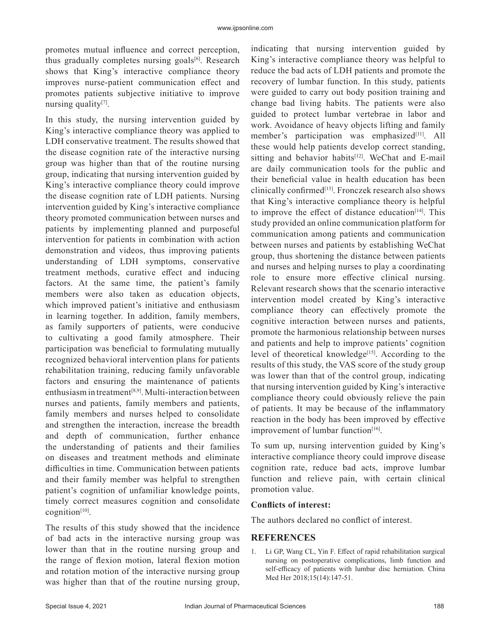promotes mutual influence and correct perception, thus gradually completes nursing goals<sup>[6]</sup>. Research shows that King's interactive compliance theory improves nurse-patient communication effect and promotes patients subjective initiative to improve nursing quality[7].

In this study, the nursing intervention guided by King's interactive compliance theory was applied to LDH conservative treatment. The results showed that the disease cognition rate of the interactive nursing group was higher than that of the routine nursing group, indicating that nursing intervention guided by King's interactive compliance theory could improve the disease cognition rate of LDH patients. Nursing intervention guided by King's interactive compliance theory promoted communication between nurses and patients by implementing planned and purposeful intervention for patients in combination with action demonstration and videos, thus improving patients understanding of LDH symptoms, conservative treatment methods, curative effect and inducing factors. At the same time, the patient's family members were also taken as education objects, which improved patient's initiative and enthusiasm in learning together. In addition, family members, as family supporters of patients, were conducive to cultivating a good family atmosphere. Their participation was beneficial to formulating mutually recognized behavioral intervention plans for patients rehabilitation training, reducing family unfavorable factors and ensuring the maintenance of patients enthusiasm in treatment<sup>[8,9]</sup>. Multi-interaction between nurses and patients, family members and patients, family members and nurses helped to consolidate and strengthen the interaction, increase the breadth and depth of communication, further enhance the understanding of patients and their families on diseases and treatment methods and eliminate difficulties in time. Communication between patients and their family member was helpful to strengthen patient's cognition of unfamiliar knowledge points, timely correct measures cognition and consolidate cognition[10].

The results of this study showed that the incidence of bad acts in the interactive nursing group was lower than that in the routine nursing group and the range of flexion motion, lateral flexion motion and rotation motion of the interactive nursing group was higher than that of the routine nursing group, indicating that nursing intervention guided by King's interactive compliance theory was helpful to reduce the bad acts of LDH patients and promote the recovery of lumbar function. In this study, patients were guided to carry out body position training and change bad living habits. The patients were also guided to protect lumbar vertebrae in labor and work. Avoidance of heavy objects lifting and family member's participation was emphasized<sup>[11]</sup>. All these would help patients develop correct standing, sitting and behavior habits<sup>[12]</sup>. WeChat and E-mail are daily communication tools for the public and their beneficial value in health education has been clinically confirmed $[13]$ . Fronczek research also shows that King's interactive compliance theory is helpful to improve the effect of distance education $[14]$ . This study provided an online communication platform for communication among patients and communication between nurses and patients by establishing WeChat group, thus shortening the distance between patients and nurses and helping nurses to play a coordinating role to ensure more effective clinical nursing. Relevant research shows that the scenario interactive intervention model created by King's interactive compliance theory can effectively promote the cognitive interaction between nurses and patients, promote the harmonious relationship between nurses and patients and help to improve patients' cognition level of theoretical knowledge<sup>[15]</sup>. According to the results of this study, the VAS score of the study group was lower than that of the control group, indicating that nursing intervention guided by King's interactive compliance theory could obviously relieve the pain of patients. It may be because of the inflammatory reaction in the body has been improved by effective improvement of lumbar function $[16]$ .

To sum up, nursing intervention guided by King's interactive compliance theory could improve disease cognition rate, reduce bad acts, improve lumbar function and relieve pain, with certain clinical promotion value.

#### **Conflicts of interest:**

The authors declared no conflict of interest.

## **REFERENCES**

1. Li GP, Wang CL, Yin F. Effect of rapid rehabilitation surgical nursing on postoperative complications, limb function and self-efficacy of patients with lumbar disc herniation. China Med Her 2018;15(14):147-51.